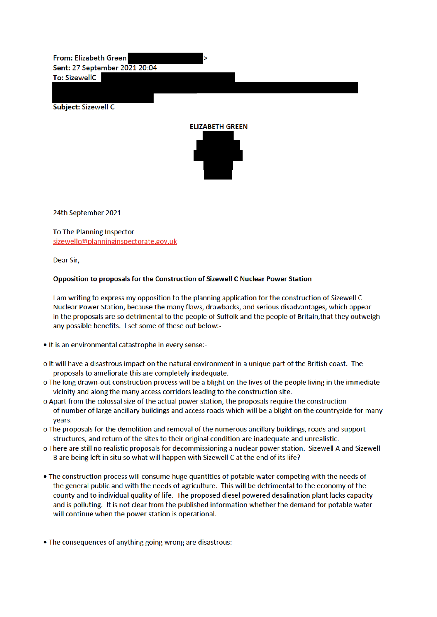From: Elizabeth Green Sent: 27 September 2021 20:04

To: SizewellC

Subject: Sizewell C



24th September 2021

To The Planning Inspector sizewellc@planninginspectorate.gov.uk

Dear Sir,

## Opposition to proposals for the Construction of Sizewell C Nuclear Power Station

I am writing to express my opposition to the planning application for the construction of Sizewell C Nuclear Power Station, because the many flaws, drawbacks, and serious disadvantages, which appear in the proposals are so detrimental to the people of Suffolk and the people of Britain, that they outweigh any possible benefits. I set some of these out below:-

- . It is an environmental catastrophe in every sense:-
- o It will have a disastrous impact on the natural environment in a unique part of the British coast. The proposals to ameliorate this are completely inadequate.
- o The long drawn-out construction process will be a blight on the lives of the people living in the immediate vicinity and along the many access corridors leading to the construction site.
- o Apart from the colossal size of the actual power station, the proposals require the construction of number of large ancillary buildings and access roads which will be a blight on the countryside for many vears.
- o The proposals for the demolition and removal of the numerous ancillary buildings, roads and support structures, and return of the sites to their original condition are inadequate and unrealistic.
- o There are still no realistic proposals for decommissioning a nuclear power station. Sizewell A and Sizewell B are being left in situ so what will happen with Sizewell C at the end of its life?
- The construction process will consume huge quantities of potable water competing with the needs of the general public and with the needs of agriculture. This will be detrimental to the economy of the county and to individual quality of life. The proposed diesel powered desalination plant lacks capacity and is polluting. It is not clear from the published information whether the demand for potable water will continue when the power station is operational.

• The consequences of anything going wrong are disastrous: